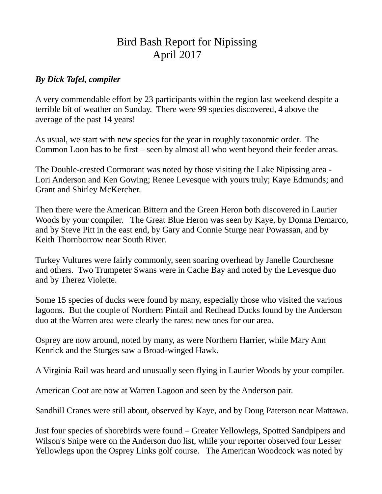## Bird Bash Report for Nipissing April 2017

## *By Dick Tafel, compiler*

A very commendable effort by 23 participants within the region last weekend despite a terrible bit of weather on Sunday. There were 99 species discovered, 4 above the average of the past 14 years!

As usual, we start with new species for the year in roughly taxonomic order. The Common Loon has to be first – seen by almost all who went beyond their feeder areas.

The Double-crested Cormorant was noted by those visiting the Lake Nipissing area - Lori Anderson and Ken Gowing; Renee Levesque with yours truly; Kaye Edmunds; and Grant and Shirley McKercher.

Then there were the American Bittern and the Green Heron both discovered in Laurier Woods by your compiler. The Great Blue Heron was seen by Kaye, by Donna Demarco, and by Steve Pitt in the east end, by Gary and Connie Sturge near Powassan, and by Keith Thornborrow near South River.

Turkey Vultures were fairly commonly, seen soaring overhead by Janelle Courchesne and others. Two Trumpeter Swans were in Cache Bay and noted by the Levesque duo and by Therez Violette.

Some 15 species of ducks were found by many, especially those who visited the various lagoons. But the couple of Northern Pintail and Redhead Ducks found by the Anderson duo at the Warren area were clearly the rarest new ones for our area.

Osprey are now around, noted by many, as were Northern Harrier, while Mary Ann Kenrick and the Sturges saw a Broad-winged Hawk.

A Virginia Rail was heard and unusually seen flying in Laurier Woods by your compiler.

American Coot are now at Warren Lagoon and seen by the Anderson pair.

Sandhill Cranes were still about, observed by Kaye, and by Doug Paterson near Mattawa.

Just four species of shorebirds were found – Greater Yellowlegs, Spotted Sandpipers and Wilson's Snipe were on the Anderson duo list, while your reporter observed four Lesser Yellowlegs upon the Osprey Links golf course. The American Woodcock was noted by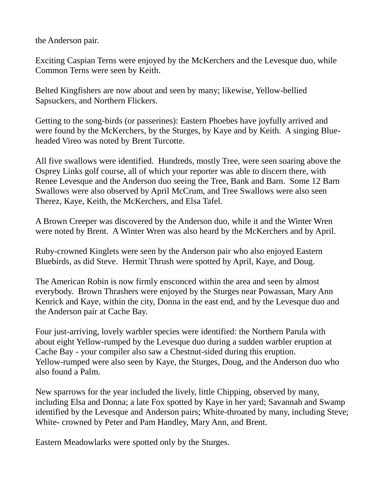the Anderson pair.

Exciting Caspian Terns were enjoyed by the McKerchers and the Levesque duo, while Common Terns were seen by Keith.

Belted Kingfishers are now about and seen by many; likewise, Yellow-bellied Sapsuckers, and Northern Flickers.

Getting to the song-birds (or passerines): Eastern Phoebes have joyfully arrived and were found by the McKerchers, by the Sturges, by Kaye and by Keith. A singing Blueheaded Vireo was noted by Brent Turcotte.

All five swallows were identified. Hundreds, mostly Tree, were seen soaring above the Osprey Links golf course, all of which your reporter was able to discern there, with Renee Levesque and the Anderson duo seeing the Tree, Bank and Barn. Some 12 Barn Swallows were also observed by April McCrum, and Tree Swallows were also seen Therez, Kaye, Keith, the McKerchers, and Elsa Tafel.

A Brown Creeper was discovered by the Anderson duo, while it and the Winter Wren were noted by Brent. A Winter Wren was also heard by the McKerchers and by April.

Ruby-crowned Kinglets were seen by the Anderson pair who also enjoyed Eastern Bluebirds, as did Steve. Hermit Thrush were spotted by April, Kaye, and Doug.

The American Robin is now firmly ensconced within the area and seen by almost everybody. Brown Thrashers were enjoyed by the Sturges near Powassan, Mary Ann Kenrick and Kaye, within the city, Donna in the east end, and by the Levesque duo and the Anderson pair at Cache Bay.

Four just-arriving, lovely warbler species were identified: the Northern Parula with about eight Yellow-rumped by the Levesque duo during a sudden warbler eruption at Cache Bay - your compiler also saw a Chestnut-sided during this eruption. Yellow-rumped were also seen by Kaye, the Sturges, Doug, and the Anderson duo who also found a Palm.

New sparrows for the year included the lively, little Chipping, observed by many, including Elsa and Donna; a late Fox spotted by Kaye in her yard; Savannah and Swamp identified by the Levesque and Anderson pairs; White-throated by many, including Steve; White- crowned by Peter and Pam Handley, Mary Ann, and Brent.

Eastern Meadowlarks were spotted only by the Sturges.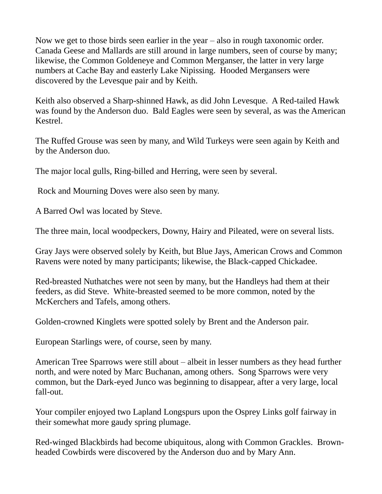Now we get to those birds seen earlier in the year – also in rough taxonomic order. Canada Geese and Mallards are still around in large numbers, seen of course by many; likewise, the Common Goldeneye and Common Merganser, the latter in very large numbers at Cache Bay and easterly Lake Nipissing. Hooded Mergansers were discovered by the Levesque pair and by Keith.

Keith also observed a Sharp-shinned Hawk, as did John Levesque. A Red-tailed Hawk was found by the Anderson duo. Bald Eagles were seen by several, as was the American Kestrel.

The Ruffed Grouse was seen by many, and Wild Turkeys were seen again by Keith and by the Anderson duo.

The major local gulls, Ring-billed and Herring, were seen by several.

Rock and Mourning Doves were also seen by many.

A Barred Owl was located by Steve.

The three main, local woodpeckers, Downy, Hairy and Pileated, were on several lists.

Gray Jays were observed solely by Keith, but Blue Jays, American Crows and Common Ravens were noted by many participants; likewise, the Black-capped Chickadee.

Red-breasted Nuthatches were not seen by many, but the Handleys had them at their feeders, as did Steve. White-breasted seemed to be more common, noted by the McKerchers and Tafels, among others.

Golden-crowned Kinglets were spotted solely by Brent and the Anderson pair.

European Starlings were, of course, seen by many.

American Tree Sparrows were still about – albeit in lesser numbers as they head further north, and were noted by Marc Buchanan, among others. Song Sparrows were very common, but the Dark-eyed Junco was beginning to disappear, after a very large, local fall-out.

Your compiler enjoyed two Lapland Longspurs upon the Osprey Links golf fairway in their somewhat more gaudy spring plumage.

Red-winged Blackbirds had become ubiquitous, along with Common Grackles. Brownheaded Cowbirds were discovered by the Anderson duo and by Mary Ann.